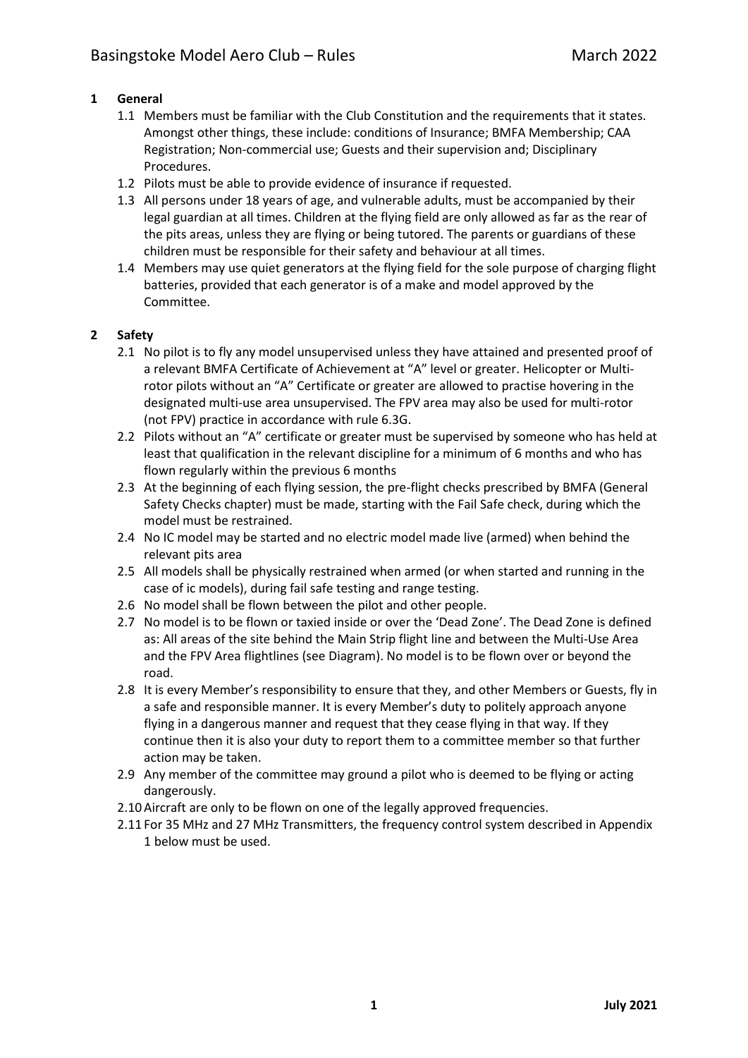## **1 General**

- 1.1 Members must be familiar with the Club Constitution and the requirements that it states. Amongst other things, these include: conditions of Insurance; BMFA Membership; CAA Registration; Non-commercial use; Guests and their supervision and; Disciplinary Procedures.
- 1.2 Pilots must be able to provide evidence of insurance if requested.
- 1.3 All persons under 18 years of age, and vulnerable adults, must be accompanied by their legal guardian at all times. Children at the flying field are only allowed as far as the rear of the pits areas, unless they are flying or being tutored. The parents or guardians of these children must be responsible for their safety and behaviour at all times.
- 1.4 Members may use quiet generators at the flying field for the sole purpose of charging flight batteries, provided that each generator is of a make and model approved by the Committee.

### **2 Safety**

- 2.1 No pilot is to fly any model unsupervised unless they have attained and presented proof of a relevant BMFA Certificate of Achievement at "A" level or greater. Helicopter or Multirotor pilots without an "A" Certificate or greater are allowed to practise hovering in the designated multi-use area unsupervised. The FPV area may also be used for multi-rotor (not FPV) practice in accordance with rule 6.3G.
- 2.2 Pilots without an "A" certificate or greater must be supervised by someone who has held at least that qualification in the relevant discipline for a minimum of 6 months and who has flown regularly within the previous 6 months
- 2.3 At the beginning of each flying session, the pre-flight checks prescribed by BMFA (General Safety Checks chapter) must be made, starting with the Fail Safe check, during which the model must be restrained.
- 2.4 No IC model may be started and no electric model made live (armed) when behind the relevant pits area
- 2.5 All models shall be physically restrained when armed (or when started and running in the case of ic models), during fail safe testing and range testing.
- 2.6 No model shall be flown between the pilot and other people.
- 2.7 No model is to be flown or taxied inside or over the 'Dead Zone'. The Dead Zone is defined as: All areas of the site behind the Main Strip flight line and between the Multi-Use Area and the FPV Area flightlines (see Diagram). No model is to be flown over or beyond the road.
- 2.8 It is every Member's responsibility to ensure that they, and other Members or Guests, fly in a safe and responsible manner. It is every Member's duty to politely approach anyone flying in a dangerous manner and request that they cease flying in that way. If they continue then it is also your duty to report them to a committee member so that further action may be taken.
- 2.9 Any member of the committee may ground a pilot who is deemed to be flying or acting dangerously.
- 2.10 Aircraft are only to be flown on one of the legally approved frequencies.
- 2.11 For 35 MHz and 27 MHz Transmitters, the frequency control system described in Appendix 1 below must be used.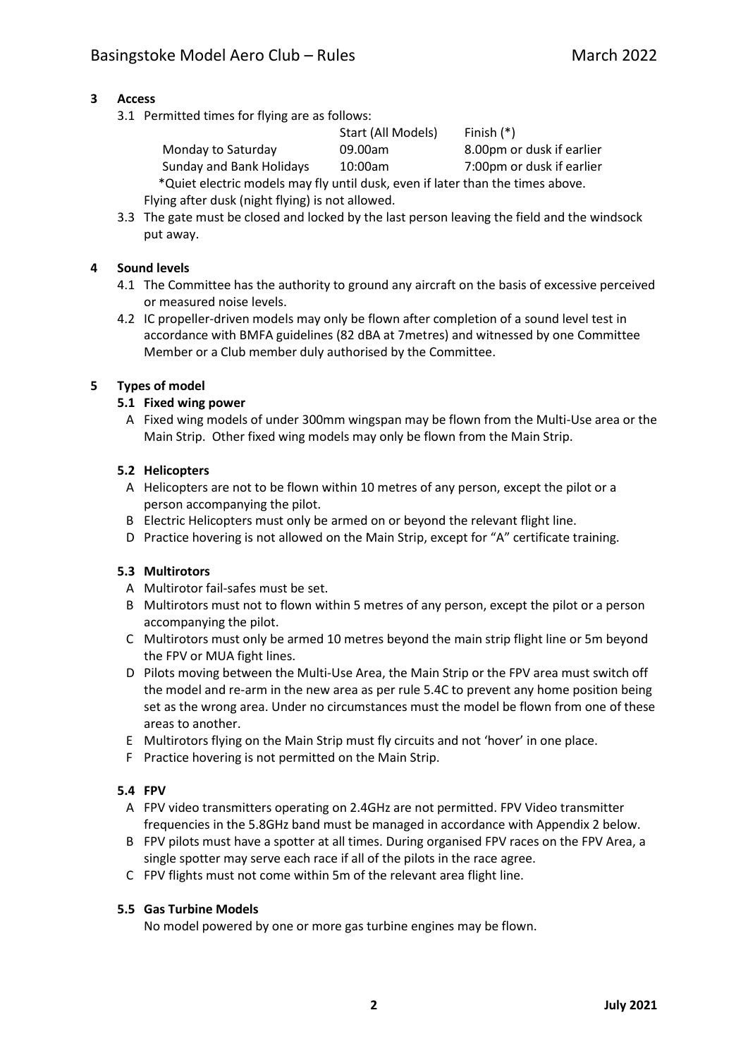### **3 Access**

3.1 Permitted times for flying are as follows:

Start (All Models) Finish (\*)

Monday to Saturday 09.00am 8.00pm or dusk if earlier

Sunday and Bank Holidays 10:00am 7:00pm or dusk if earlier \*Quiet electric models may fly until dusk, even if later than the times above. Flying after dusk (night flying) is not allowed.

3.3 The gate must be closed and locked by the last person leaving the field and the windsock put away.

## **4 Sound levels**

- 4.1 The Committee has the authority to ground any aircraft on the basis of excessive perceived or measured noise levels.
- 4.2 IC propeller-driven models may only be flown after completion of a sound level test in accordance with BMFA guidelines (82 dBA at 7metres) and witnessed by one Committee Member or a Club member duly authorised by the Committee.

## **5 Types of model**

### **5.1 Fixed wing power**

A Fixed wing models of under 300mm wingspan may be flown from the Multi-Use area or the Main Strip. Other fixed wing models may only be flown from the Main Strip.

## **5.2 Helicopters**

- A Helicopters are not to be flown within 10 metres of any person, except the pilot or a person accompanying the pilot.
- B Electric Helicopters must only be armed on or beyond the relevant flight line.
- D Practice hovering is not allowed on the Main Strip, except for "A" certificate training.

# **5.3 Multirotors**

- A Multirotor fail-safes must be set.
- B Multirotors must not to flown within 5 metres of any person, except the pilot or a person accompanying the pilot.
- C Multirotors must only be armed 10 metres beyond the main strip flight line or 5m beyond the FPV or MUA fight lines.
- D Pilots moving between the Multi-Use Area, the Main Strip or the FPV area must switch off the model and re-arm in the new area as per rule 5.4C to prevent any home position being set as the wrong area. Under no circumstances must the model be flown from one of these areas to another.
- E Multirotors flying on the Main Strip must fly circuits and not 'hover' in one place.
- F Practice hovering is not permitted on the Main Strip.

### **5.4 FPV**

- A FPV video transmitters operating on 2.4GHz are not permitted. FPV Video transmitter frequencies in the 5.8GHz band must be managed in accordance with Appendix 2 below.
- B FPV pilots must have a spotter at all times. During organised FPV races on the FPV Area, a single spotter may serve each race if all of the pilots in the race agree.
- C FPV flights must not come within 5m of the relevant area flight line.

### **5.5 Gas Turbine Models**

No model powered by one or more gas turbine engines may be flown.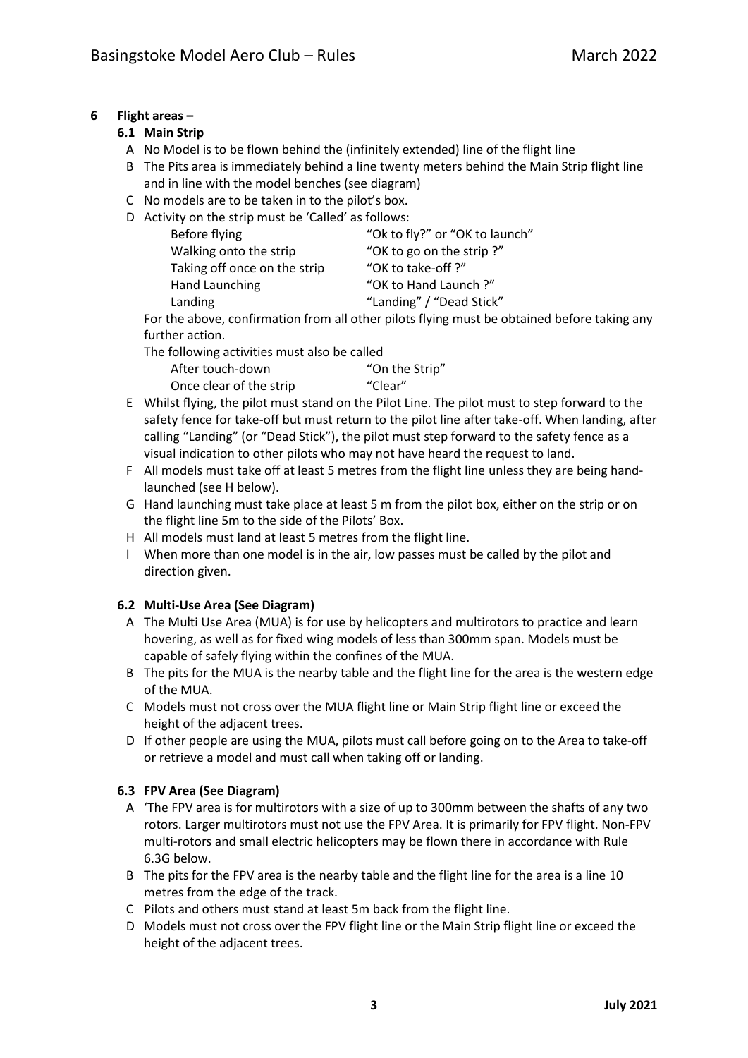# **6 Flight areas –**

## **6.1 Main Strip**

- A No Model is to be flown behind the (infinitely extended) line of the flight line
- B The Pits area is immediately behind a line twenty meters behind the Main Strip flight line and in line with the model benches (see diagram)
- C No models are to be taken in to the pilot's box.
- D Activity on the strip must be 'Called' as follows:

| Before flying                | "Ok to fly?" or "OK to launch" |
|------------------------------|--------------------------------|
| Walking onto the strip       | "OK to go on the strip?"       |
| Taking off once on the strip | "OK to take-off?"              |
| Hand Launching               | "OK to Hand Launch?"           |
| Landing                      | "Landing" / "Dead Stick"       |

For the above, confirmation from all other pilots flying must be obtained before taking any further action.

The following activities must also be called

| After touch-down        | "On the Strip" |
|-------------------------|----------------|
| Once clear of the strip | "Clear"        |

- E Whilst flying, the pilot must stand on the Pilot Line. The pilot must to step forward to the safety fence for take-off but must return to the pilot line after take-off. When landing, after calling "Landing" (or "Dead Stick"), the pilot must step forward to the safety fence as a visual indication to other pilots who may not have heard the request to land.
- F All models must take off at least 5 metres from the flight line unless they are being handlaunched (see H below).
- G Hand launching must take place at least 5 m from the pilot box, either on the strip or on the flight line 5m to the side of the Pilots' Box.
- H All models must land at least 5 metres from the flight line.
- I When more than one model is in the air, low passes must be called by the pilot and direction given.

### **6.2 Multi-Use Area (See Diagram)**

- A The Multi Use Area (MUA) is for use by helicopters and multirotors to practice and learn hovering, as well as for fixed wing models of less than 300mm span. Models must be capable of safely flying within the confines of the MUA.
- B The pits for the MUA is the nearby table and the flight line for the area is the western edge of the MUA.
- C Models must not cross over the MUA flight line or Main Strip flight line or exceed the height of the adjacent trees.
- D If other people are using the MUA, pilots must call before going on to the Area to take-off or retrieve a model and must call when taking off or landing.

### **6.3 FPV Area (See Diagram)**

- A 'The FPV area is for multirotors with a size of up to 300mm between the shafts of any two rotors. Larger multirotors must not use the FPV Area. It is primarily for FPV flight. Non-FPV multi-rotors and small electric helicopters may be flown there in accordance with Rule 6.3G below.
- B The pits for the FPV area is the nearby table and the flight line for the area is a line 10 metres from the edge of the track.
- C Pilots and others must stand at least 5m back from the flight line.
- D Models must not cross over the FPV flight line or the Main Strip flight line or exceed the height of the adjacent trees.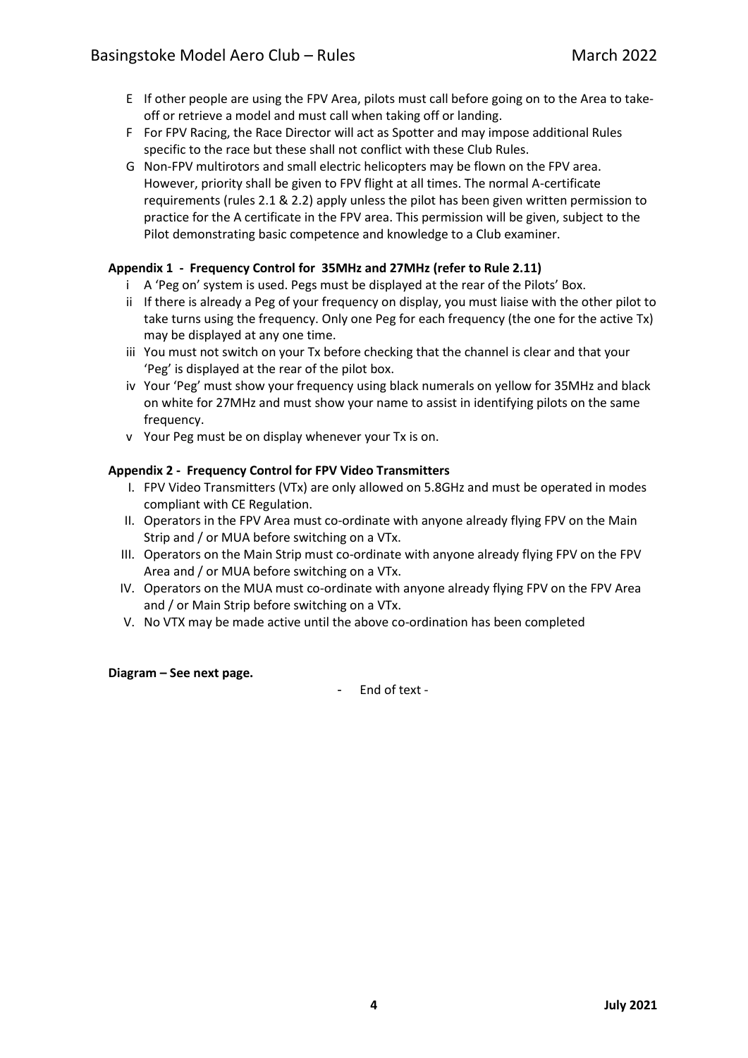- E If other people are using the FPV Area, pilots must call before going on to the Area to takeoff or retrieve a model and must call when taking off or landing.
- F For FPV Racing, the Race Director will act as Spotter and may impose additional Rules specific to the race but these shall not conflict with these Club Rules.
- G Non-FPV multirotors and small electric helicopters may be flown on the FPV area. However, priority shall be given to FPV flight at all times. The normal A-certificate requirements (rules 2.1 & 2.2) apply unless the pilot has been given written permission to practice for the A certificate in the FPV area. This permission will be given, subject to the Pilot demonstrating basic competence and knowledge to a Club examiner.

### **Appendix 1 - Frequency Control for 35MHz and 27MHz (refer to Rule 2.11)**

- i A 'Peg on' system is used. Pegs must be displayed at the rear of the Pilots' Box.
- ii If there is already a Peg of your frequency on display, you must liaise with the other pilot to take turns using the frequency. Only one Peg for each frequency (the one for the active Tx) may be displayed at any one time.
- iii You must not switch on your Tx before checking that the channel is clear and that your 'Peg' is displayed at the rear of the pilot box.
- iv Your 'Peg' must show your frequency using black numerals on yellow for 35MHz and black on white for 27MHz and must show your name to assist in identifying pilots on the same frequency.
- v Your Peg must be on display whenever your Tx is on.

#### **Appendix 2 - Frequency Control for FPV Video Transmitters**

- I. FPV Video Transmitters (VTx) are only allowed on 5.8GHz and must be operated in modes compliant with CE Regulation.
- II. Operators in the FPV Area must co-ordinate with anyone already flying FPV on the Main Strip and / or MUA before switching on a VTx.
- III. Operators on the Main Strip must co-ordinate with anyone already flying FPV on the FPV Area and / or MUA before switching on a VTx.
- IV. Operators on the MUA must co-ordinate with anyone already flying FPV on the FPV Area and / or Main Strip before switching on a VTx.
- V. No VTX may be made active until the above co-ordination has been completed

#### **Diagram – See next page.**

- End of text -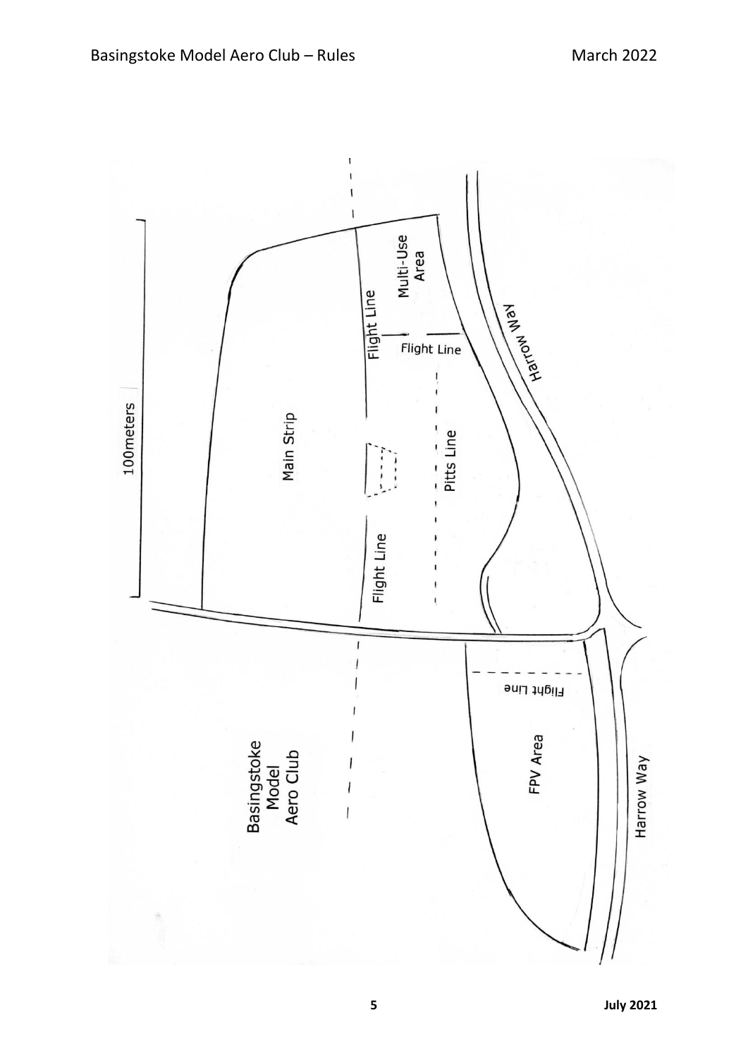